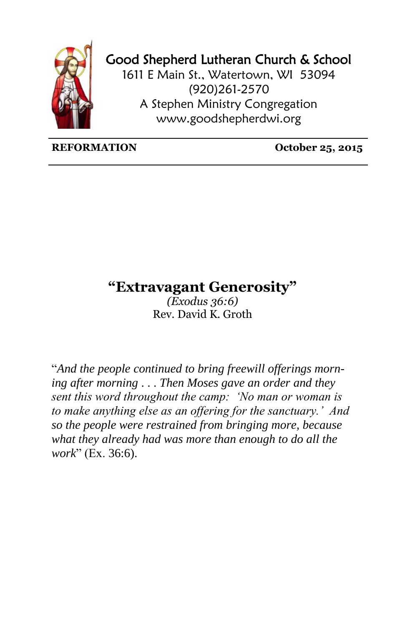

## Good Shepherd Lutheran Church & School

1611 E Main St., Watertown, WI 53094 (920)261-2570 A Stephen Ministry Congregation [www.goodshepherdwi.org](http://www.goodshepherdwi.org/)

## **REFORMATION October 25, 2015**

## **"Extravagant Generosity"**

*(Exodus 36:6)* Rev. David K. Groth

"*And the people continued to bring freewill offerings morning after morning* . . . *Then Moses gave an order and they sent this word throughout the camp: 'No man or woman is to make anything else as an offering for the sanctuary.' And so the people were restrained from bringing more, because what they already had was more than enough to do all the work*" (Ex. 36:6).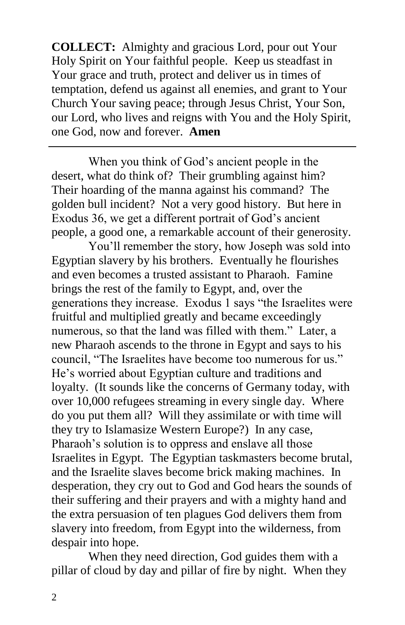**COLLECT:** Almighty and gracious Lord, pour out Your Holy Spirit on Your faithful people. Keep us steadfast in Your grace and truth, protect and deliver us in times of temptation, defend us against all enemies, and grant to Your Church Your saving peace; through Jesus Christ, Your Son, our Lord, who lives and reigns with You and the Holy Spirit, one God, now and forever. **Amen**

When you think of God's ancient people in the desert, what do think of? Their grumbling against him? Their hoarding of the manna against his command? The golden bull incident? Not a very good history. But here in Exodus 36, we get a different portrait of God's ancient people, a good one, a remarkable account of their generosity.

You'll remember the story, how Joseph was sold into Egyptian slavery by his brothers. Eventually he flourishes and even becomes a trusted assistant to Pharaoh. Famine brings the rest of the family to Egypt, and, over the generations they increase. Exodus 1 says "the Israelites were fruitful and multiplied greatly and became exceedingly numerous, so that the land was filled with them." Later, a new Pharaoh ascends to the throne in Egypt and says to his council, "The Israelites have become too numerous for us." He's worried about Egyptian culture and traditions and loyalty. (It sounds like the concerns of Germany today, with over 10,000 refugees streaming in every single day. Where do you put them all? Will they assimilate or with time will they try to Islamasize Western Europe?) In any case, Pharaoh's solution is to oppress and enslave all those Israelites in Egypt. The Egyptian taskmasters become brutal, and the Israelite slaves become brick making machines. In desperation, they cry out to God and God hears the sounds of their suffering and their prayers and with a mighty hand and the extra persuasion of ten plagues God delivers them from slavery into freedom, from Egypt into the wilderness, from despair into hope.

When they need direction, God guides them with a pillar of cloud by day and pillar of fire by night. When they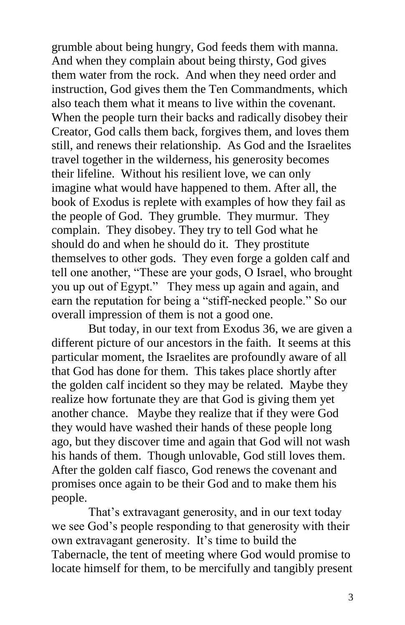grumble about being hungry, God feeds them with manna. And when they complain about being thirsty, God gives them water from the rock. And when they need order and instruction, God gives them the Ten Commandments, which also teach them what it means to live within the covenant. When the people turn their backs and radically disobey their Creator, God calls them back, forgives them, and loves them still, and renews their relationship. As God and the Israelites travel together in the wilderness, his generosity becomes their lifeline. Without his resilient love, we can only imagine what would have happened to them. After all, the book of Exodus is replete with examples of how they fail as the people of God. They grumble. They murmur. They complain. They disobey. They try to tell God what he should do and when he should do it. They prostitute themselves to other gods. They even forge a golden calf and tell one another, "These are your gods, O Israel, who brought you up out of Egypt." They mess up again and again, and earn the reputation for being a "stiff-necked people." So our overall impression of them is not a good one.

But today, in our text from Exodus 36, we are given a different picture of our ancestors in the faith. It seems at this particular moment, the Israelites are profoundly aware of all that God has done for them. This takes place shortly after the golden calf incident so they may be related. Maybe they realize how fortunate they are that God is giving them yet another chance. Maybe they realize that if they were God they would have washed their hands of these people long ago, but they discover time and again that God will not wash his hands of them. Though unlovable, God still loves them. After the golden calf fiasco, God renews the covenant and promises once again to be their God and to make them his people.

That's extravagant generosity, and in our text today we see God's people responding to that generosity with their own extravagant generosity. It's time to build the Tabernacle, the tent of meeting where God would promise to locate himself for them, to be mercifully and tangibly present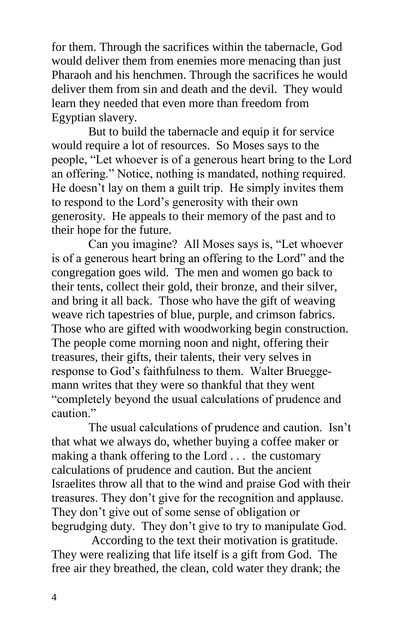for them. Through the sacrifices within the tabernacle, God would deliver them from enemies more menacing than just Pharaoh and his henchmen. Through the sacrifices he would deliver them from sin and death and the devil. They would learn they needed that even more than freedom from Egyptian slavery.

But to build the tabernacle and equip it for service would require a lot of resources. So Moses says to the people, "Let whoever is of a generous heart bring to the Lord an offering." Notice, nothing is mandated, nothing required. He doesn't lay on them a guilt trip. He simply invites them to respond to the Lord's generosity with their own generosity. He appeals to their memory of the past and to their hope for the future.

Can you imagine? All Moses says is, "Let whoever is of a generous heart bring an offering to the Lord" and the congregation goes wild. The men and women go back to their tents, collect their gold, their bronze, and their silver, and bring it all back. Those who have the gift of weaving weave rich tapestries of blue, purple, and crimson fabrics. Those who are gifted with woodworking begin construction. The people come morning noon and night, offering their treasures, their gifts, their talents, their very selves in response to God's faithfulness to them. Walter Brueggemann writes that they were so thankful that they went "completely beyond the usual calculations of prudence and caution<sup>"</sup>

The usual calculations of prudence and caution. Isn't that what we always do, whether buying a coffee maker or making a thank offering to the Lord . . . the customary calculations of prudence and caution. But the ancient Israelites throw all that to the wind and praise God with their treasures. They don't give for the recognition and applause. They don't give out of some sense of obligation or begrudging duty. They don't give to try to manipulate God.

According to the text their motivation is gratitude. They were realizing that life itself is a gift from God. The free air they breathed, the clean, cold water they drank; the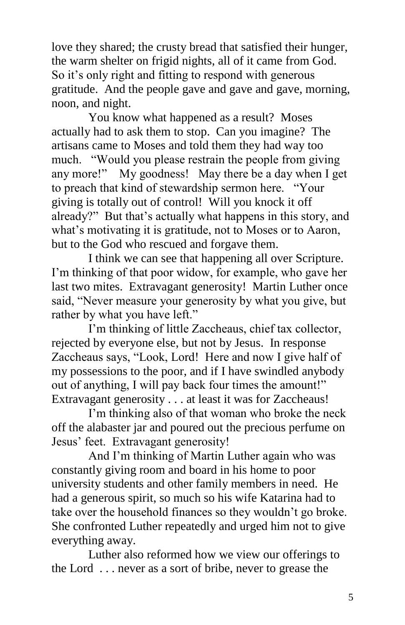love they shared; the crusty bread that satisfied their hunger, the warm shelter on frigid nights, all of it came from God. So it's only right and fitting to respond with generous gratitude. And the people gave and gave and gave, morning, noon, and night.

You know what happened as a result? Moses actually had to ask them to stop. Can you imagine? The artisans came to Moses and told them they had way too much. "Would you please restrain the people from giving any more!" My goodness! May there be a day when I get to preach that kind of stewardship sermon here. "Your giving is totally out of control! Will you knock it off already?" But that's actually what happens in this story, and what's motivating it is gratitude, not to Moses or to Aaron, but to the God who rescued and forgave them.

I think we can see that happening all over Scripture. I'm thinking of that poor widow, for example, who gave her last two mites. Extravagant generosity! Martin Luther once said, "Never measure your generosity by what you give, but rather by what you have left."

I'm thinking of little Zaccheaus, chief tax collector, rejected by everyone else, but not by Jesus. In response Zaccheaus says, "Look, Lord! Here and now I give half of my possessions to the poor, and if I have swindled anybody out of anything, I will pay back four times the amount!" Extravagant generosity . . . at least it was for Zaccheaus!

I'm thinking also of that woman who broke the neck off the alabaster jar and poured out the precious perfume on Jesus' feet. Extravagant generosity!

And I'm thinking of Martin Luther again who was constantly giving room and board in his home to poor university students and other family members in need. He had a generous spirit, so much so his wife Katarina had to take over the household finances so they wouldn't go broke. She confronted Luther repeatedly and urged him not to give everything away.

Luther also reformed how we view our offerings to the Lord . . . never as a sort of bribe, never to grease the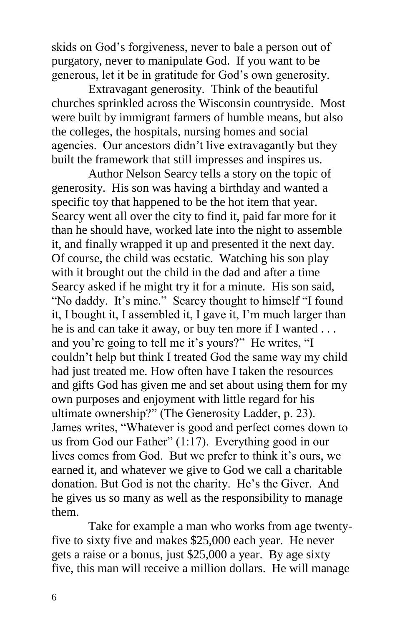skids on God's forgiveness, never to bale a person out of purgatory, never to manipulate God. If you want to be generous, let it be in gratitude for God's own generosity.

Extravagant generosity. Think of the beautiful churches sprinkled across the Wisconsin countryside. Most were built by immigrant farmers of humble means, but also the colleges, the hospitals, nursing homes and social agencies. Our ancestors didn't live extravagantly but they built the framework that still impresses and inspires us.

Author Nelson Searcy tells a story on the topic of generosity. His son was having a birthday and wanted a specific toy that happened to be the hot item that year. Searcy went all over the city to find it, paid far more for it than he should have, worked late into the night to assemble it, and finally wrapped it up and presented it the next day. Of course, the child was ecstatic. Watching his son play with it brought out the child in the dad and after a time Searcy asked if he might try it for a minute. His son said, "No daddy. It's mine." Searcy thought to himself "I found it, I bought it, I assembled it, I gave it, I'm much larger than he is and can take it away, or buy ten more if I wanted . . . and you're going to tell me it's yours?" He writes, "I couldn't help but think I treated God the same way my child had just treated me. How often have I taken the resources and gifts God has given me and set about using them for my own purposes and enjoyment with little regard for his ultimate ownership?" (The Generosity Ladder, p. 23). James writes, "Whatever is good and perfect comes down to us from God our Father" (1:17). Everything good in our lives comes from God. But we prefer to think it's ours, we earned it, and whatever we give to God we call a charitable donation. But God is not the charity. He's the Giver. And he gives us so many as well as the responsibility to manage them.

Take for example a man who works from age twentyfive to sixty five and makes \$25,000 each year. He never gets a raise or a bonus, just \$25,000 a year. By age sixty five, this man will receive a million dollars. He will manage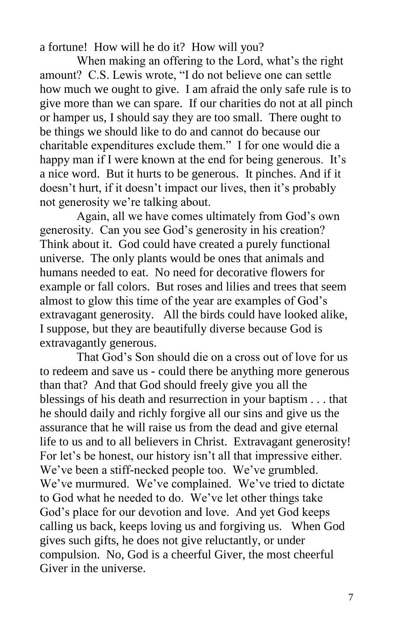a fortune! How will he do it? How will you?

When making an offering to the Lord, what's the right amount? C.S. Lewis wrote, "I do not believe one can settle how much we ought to give. I am afraid the only safe rule is to give more than we can spare. If our charities do not at all pinch or hamper us, I should say they are too small. There ought to be things we should like to do and cannot do because our charitable expenditures exclude them." I for one would die a happy man if I were known at the end for being generous. It's a nice word. But it hurts to be generous. It pinches. And if it doesn't hurt, if it doesn't impact our lives, then it's probably not generosity we're talking about.

Again, all we have comes ultimately from God's own generosity. Can you see God's generosity in his creation? Think about it. God could have created a purely functional universe. The only plants would be ones that animals and humans needed to eat. No need for decorative flowers for example or fall colors. But roses and lilies and trees that seem almost to glow this time of the year are examples of God's extravagant generosity. All the birds could have looked alike, I suppose, but they are beautifully diverse because God is extravagantly generous.

That God's Son should die on a cross out of love for us to redeem and save us - could there be anything more generous than that? And that God should freely give you all the blessings of his death and resurrection in your baptism . . . that he should daily and richly forgive all our sins and give us the assurance that he will raise us from the dead and give eternal life to us and to all believers in Christ. Extravagant generosity! For let's be honest, our history isn't all that impressive either. We've been a stiff-necked people too. We've grumbled. We've murmured. We've complained. We've tried to dictate to God what he needed to do. We've let other things take God's place for our devotion and love. And yet God keeps calling us back, keeps loving us and forgiving us. When God gives such gifts, he does not give reluctantly, or under compulsion. No, God is a cheerful Giver, the most cheerful Giver in the universe.